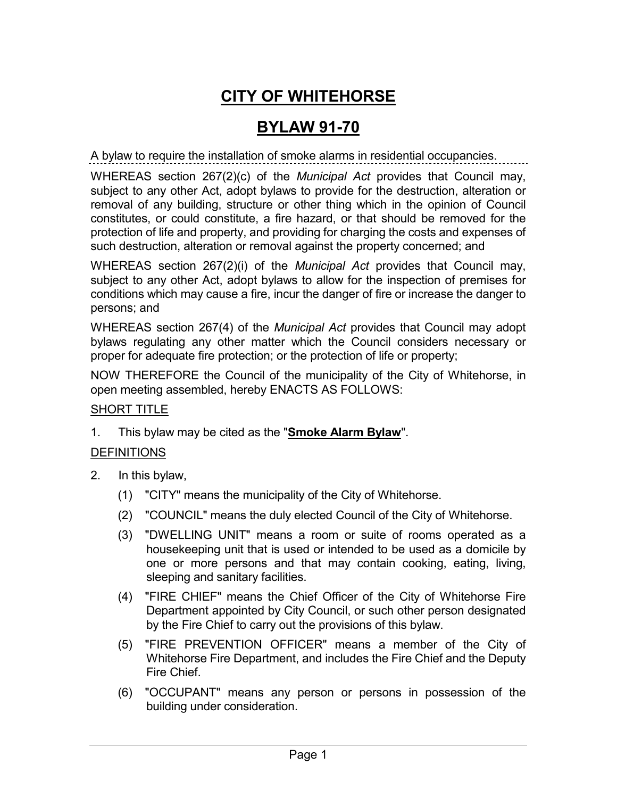# **CITY OF WHITEHORSE**

## **BYLAW 91-70**

A bylaw to require the installation of smoke alarms in residential occupancies.

WHEREAS section 267(2)(c) of the *Municipal Act* provides that Council may, subject to any other Act, adopt bylaws to provide for the destruction, alteration or removal of any building, structure or other thing which in the opinion of Council constitutes, or could constitute, a fire hazard, or that should be removed for the protection of life and property, and providing for charging the costs and expenses of such destruction, alteration or removal against the property concerned; and

WHEREAS section 267(2)(i) of the *Municipal Act* provides that Council may, subject to any other Act, adopt bylaws to allow for the inspection of premises for conditions which may cause a fire, incur the danger of fire or increase the danger to persons; and

WHEREAS section 267(4) of the *Municipal Act* provides that Council may adopt bylaws regulating any other matter which the Council considers necessary or proper for adequate fire protection; or the protection of life or property;

NOW THEREFORE the Council of the municipality of the City of Whitehorse, in open meeting assembled, hereby ENACTS AS FOLLOWS:

#### SHORT TITLE

1. This bylaw may be cited as the "**Smoke Alarm Bylaw**".

### **DEFINITIONS**

- 2. In this bylaw,
	- (1) "CITY" means the municipality of the City of Whitehorse.
	- (2) "COUNCIL" means the duly elected Council of the City of Whitehorse.
	- (3) "DWELLING UNIT" means a room or suite of rooms operated as a housekeeping unit that is used or intended to be used as a domicile by one or more persons and that may contain cooking, eating, living, sleeping and sanitary facilities.
	- (4) "FIRE CHIEF" means the Chief Officer of the City of Whitehorse Fire Department appointed by City Council, or such other person designated by the Fire Chief to carry out the provisions of this bylaw.
	- (5) "FIRE PREVENTION OFFICER" means a member of the City of Whitehorse Fire Department, and includes the Fire Chief and the Deputy Fire Chief.
	- (6) "OCCUPANT" means any person or persons in possession of the building under consideration.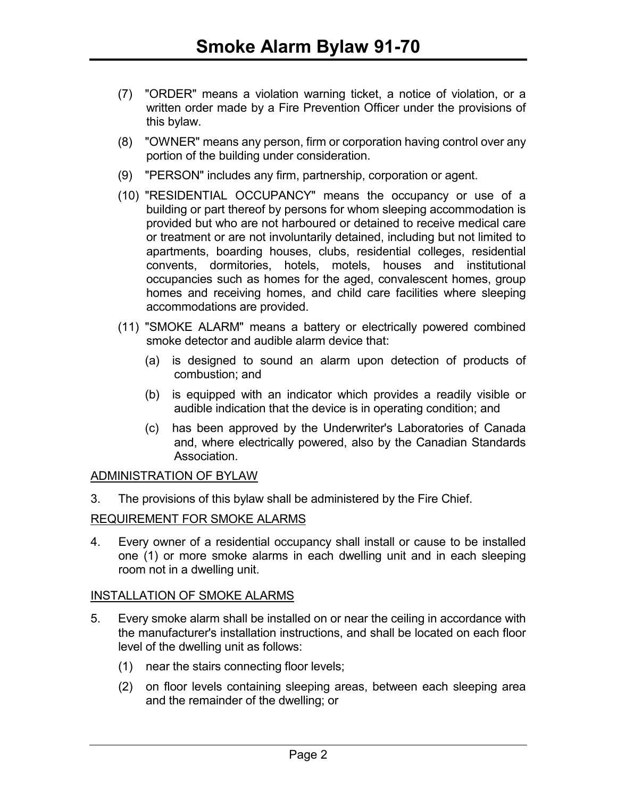- (7) "ORDER" means a violation warning ticket, a notice of violation, or a written order made by a Fire Prevention Officer under the provisions of this bylaw.
- (8) "OWNER" means any person, firm or corporation having control over any portion of the building under consideration.
- (9) "PERSON" includes any firm, partnership, corporation or agent.
- (10) "RESIDENTIAL OCCUPANCY" means the occupancy or use of a building or part thereof by persons for whom sleeping accommodation is provided but who are not harboured or detained to receive medical care or treatment or are not involuntarily detained, including but not limited to apartments, boarding houses, clubs, residential colleges, residential convents, dormitories, hotels, motels, houses and institutional occupancies such as homes for the aged, convalescent homes, group homes and receiving homes, and child care facilities where sleeping accommodations are provided.
- (11) "SMOKE ALARM" means a battery or electrically powered combined smoke detector and audible alarm device that:
	- (a) is designed to sound an alarm upon detection of products of combustion; and
	- (b) is equipped with an indicator which provides a readily visible or audible indication that the device is in operating condition; and
	- (c) has been approved by the Underwriter's Laboratories of Canada and, where electrically powered, also by the Canadian Standards Association.

#### ADMINISTRATION OF BYLAW

3. The provisions of this bylaw shall be administered by the Fire Chief.

#### REQUIREMENT FOR SMOKE ALARMS

4. Every owner of a residential occupancy shall install or cause to be installed one (1) or more smoke alarms in each dwelling unit and in each sleeping room not in a dwelling unit.

#### INSTALLATION OF SMOKE ALARMS

- 5. Every smoke alarm shall be installed on or near the ceiling in accordance with the manufacturer's installation instructions, and shall be located on each floor level of the dwelling unit as follows:
	- (1) near the stairs connecting floor levels;
	- (2) on floor levels containing sleeping areas, between each sleeping area and the remainder of the dwelling; or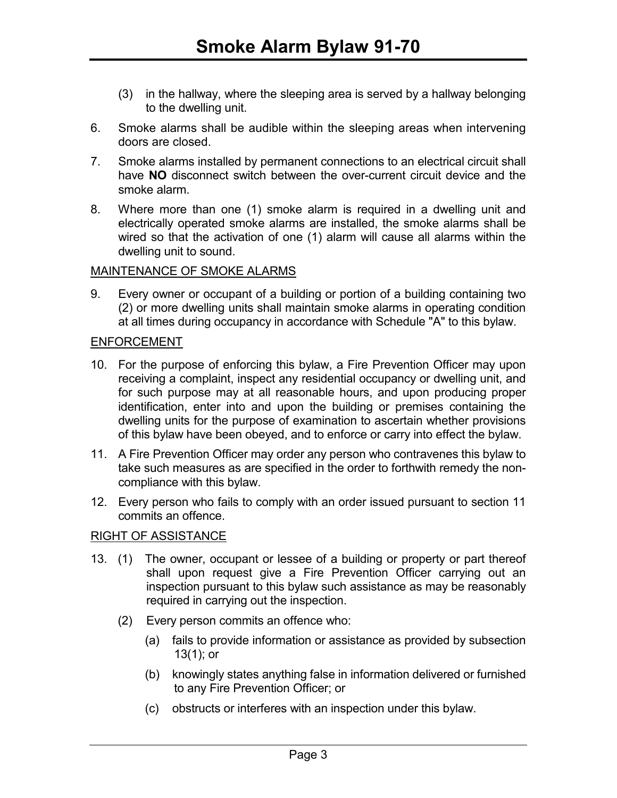- (3) in the hallway, where the sleeping area is served by a hallway belonging to the dwelling unit.
- 6. Smoke alarms shall be audible within the sleeping areas when intervening doors are closed.
- 7. Smoke alarms installed by permanent connections to an electrical circuit shall have **NO** disconnect switch between the over-current circuit device and the smoke alarm.
- 8. Where more than one (1) smoke alarm is required in a dwelling unit and electrically operated smoke alarms are installed, the smoke alarms shall be wired so that the activation of one (1) alarm will cause all alarms within the dwelling unit to sound.

#### MAINTENANCE OF SMOKE ALARMS

9. Every owner or occupant of a building or portion of a building containing two (2) or more dwelling units shall maintain smoke alarms in operating condition at all times during occupancy in accordance with Schedule "A" to this bylaw.

#### ENFORCEMENT

- 10. For the purpose of enforcing this bylaw, a Fire Prevention Officer may upon receiving a complaint, inspect any residential occupancy or dwelling unit, and for such purpose may at all reasonable hours, and upon producing proper identification, enter into and upon the building or premises containing the dwelling units for the purpose of examination to ascertain whether provisions of this bylaw have been obeyed, and to enforce or carry into effect the bylaw.
- 11. A Fire Prevention Officer may order any person who contravenes this bylaw to take such measures as are specified in the order to forthwith remedy the noncompliance with this bylaw.
- 12. Every person who fails to comply with an order issued pursuant to section 11 commits an offence.

#### RIGHT OF ASSISTANCE

- 13. (1) The owner, occupant or lessee of a building or property or part thereof shall upon request give a Fire Prevention Officer carrying out an inspection pursuant to this bylaw such assistance as may be reasonably required in carrying out the inspection.
	- (2) Every person commits an offence who:
		- (a) fails to provide information or assistance as provided by subsection 13(1); or
		- (b) knowingly states anything false in information delivered or furnished to any Fire Prevention Officer; or
		- (c) obstructs or interferes with an inspection under this bylaw.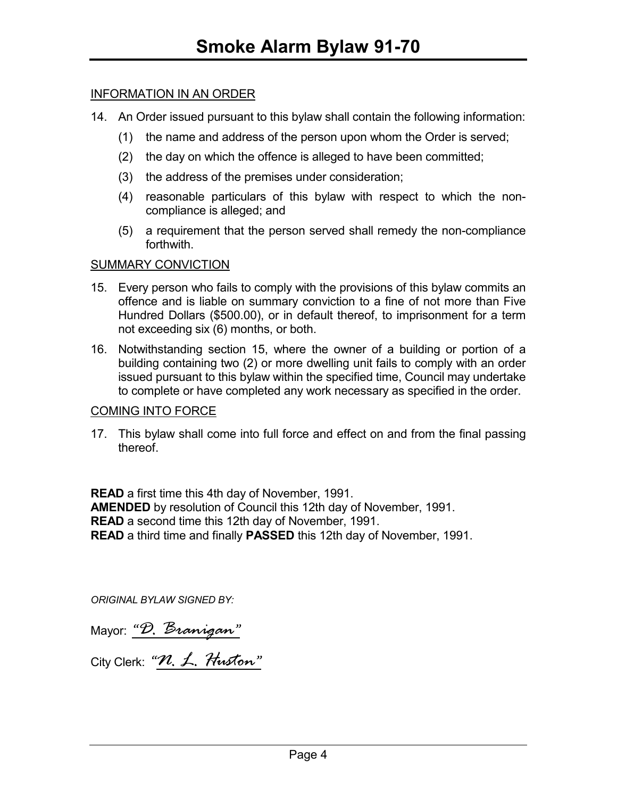#### INFORMATION IN AN ORDER

- 14. An Order issued pursuant to this bylaw shall contain the following information:
	- (1) the name and address of the person upon whom the Order is served;
	- (2) the day on which the offence is alleged to have been committed;
	- (3) the address of the premises under consideration;
	- (4) reasonable particulars of this bylaw with respect to which the noncompliance is alleged; and
	- (5) a requirement that the person served shall remedy the non-compliance forthwith.

#### SUMMARY CONVICTION

- 15. Every person who fails to comply with the provisions of this bylaw commits an offence and is liable on summary conviction to a fine of not more than Five Hundred Dollars (\$500.00), or in default thereof, to imprisonment for a term not exceeding six (6) months, or both.
- 16. Notwithstanding section 15, where the owner of a building or portion of a building containing two (2) or more dwelling unit fails to comply with an order issued pursuant to this bylaw within the specified time, Council may undertake to complete or have completed any work necessary as specified in the order.

#### COMING INTO FORCE

17. This bylaw shall come into full force and effect on and from the final passing thereof.

**READ** a first time this 4th day of November, 1991. **AMENDED** by resolution of Council this 12th day of November, 1991. **READ** a second time this 12th day of November, 1991. **READ** a third time and finally **PASSED** this 12th day of November, 1991.

*ORIGINAL BYLAW SIGNED BY:* 

|  | Mayor: "D. Branigan |
|--|---------------------|
|  |                     |

City Clerk: "*N. L. Huston*"